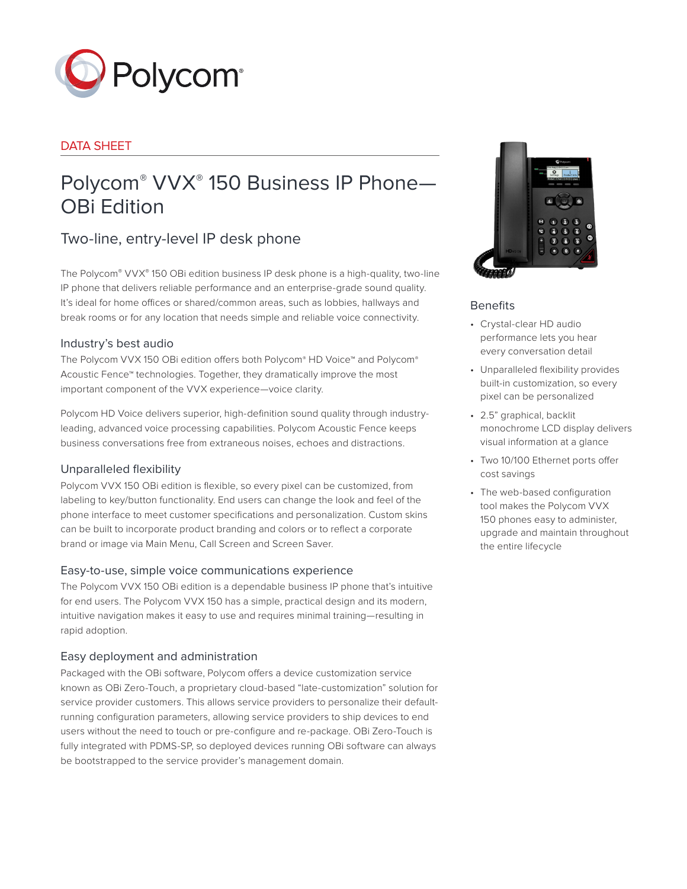

# DATA SHEET

# Polycom® VVX® 150 Business IP Phone— OBi Edition

# Two-line, entry-level IP desk phone

The Polycom® VVX® 150 OBi edition business IP desk phone is a high-quality, two-line IP phone that delivers reliable performance and an enterprise-grade sound quality. It's ideal for home offices or shared/common areas, such as lobbies, hallways and break rooms or for any location that needs simple and reliable voice connectivity.

# Industry's best audio

The Polycom VVX 150 OBi edition offers both Polycom® HD Voice™ and Polycom® Acoustic Fence™ technologies. Together, they dramatically improve the most important component of the VVX experience—voice clarity.

Polycom HD Voice delivers superior, high-definition sound quality through industryleading, advanced voice processing capabilities. Polycom Acoustic Fence keeps business conversations free from extraneous noises, echoes and distractions.

# Unparalleled flexibility

Polycom VVX 150 OBi edition is flexible, so every pixel can be customized, from labeling to key/button functionality. End users can change the look and feel of the phone interface to meet customer specifications and personalization. Custom skins can be built to incorporate product branding and colors or to reflect a corporate brand or image via Main Menu, Call Screen and Screen Saver.

# Easy-to-use, simple voice communications experience

The Polycom VVX 150 OBi edition is a dependable business IP phone that's intuitive for end users. The Polycom VVX 150 has a simple, practical design and its modern, intuitive navigation makes it easy to use and requires minimal training—resulting in rapid adoption.

# Easy deployment and administration

Packaged with the OBi software, Polycom offers a device customization service known as OBi Zero-Touch, a proprietary cloud-based "late-customization" solution for service provider customers. This allows service providers to personalize their defaultrunning configuration parameters, allowing service providers to ship devices to end users without the need to touch or pre-configure and re-package. OBi Zero-Touch is fully integrated with PDMS-SP, so deployed devices running OBi software can always be bootstrapped to the service provider's management domain.



# Benefits

- Crystal-clear HD audio performance lets you hear every conversation detail
- Unparalleled flexibility provides built-in customization, so every pixel can be personalized
- 2.5" graphical, backlit monochrome LCD display delivers visual information at a glance
- Two 10/100 Ethernet ports offer cost savings
- The web-based configuration tool makes the Polycom VVX 150 phones easy to administer, upgrade and maintain throughout the entire lifecycle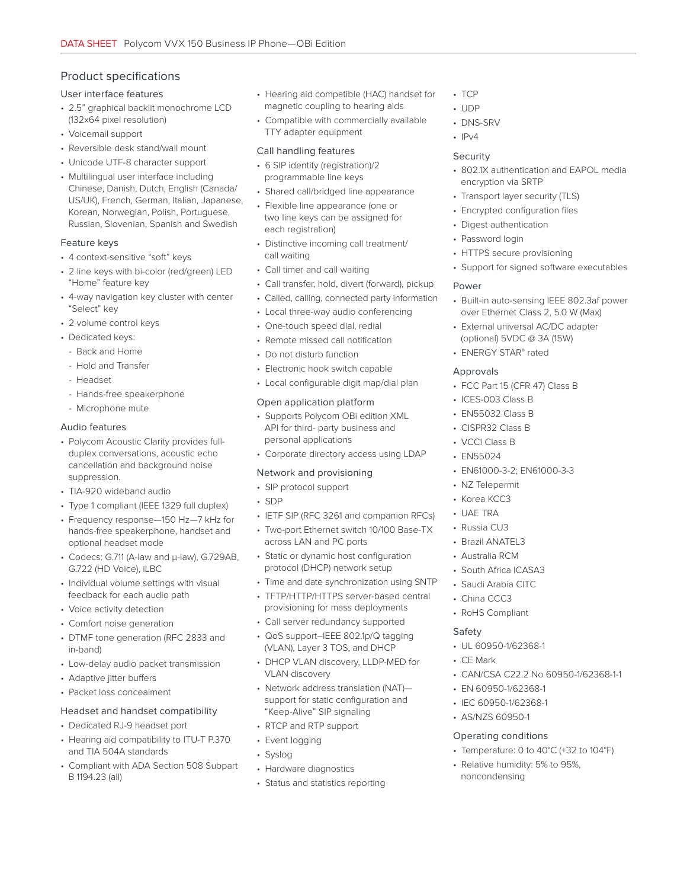# Product specifications

#### User interface features

- 2.5" graphical backlit monochrome LCD (132x64 pixel resolution)
- Voicemail support
- Reversible desk stand/wall mount
- Unicode UTF-8 character support
- Multilingual user interface including Chinese, Danish, Dutch, English (Canada/ US/UK), French, German, Italian, Japanese, Korean, Norwegian, Polish, Portuguese, Russian, Slovenian, Spanish and Swedish

#### Feature keys

- 4 context-sensitive "soft" keys
- 2 line keys with bi-color (red/green) LED "Home" feature key
- 4-way navigation key cluster with center "Select" key
- 2 volume control keys
- Dedicated keys:
	- Back and Home
	- Hold and Transfer
	- Headset
- Hands-free speakerphone
- Microphone mute

#### Audio features

- Polycom Acoustic Clarity provides fullduplex conversations, acoustic echo cancellation and background noise suppression.
- TIA-920 wideband audio
- Type 1 compliant (IEEE 1329 full duplex)
- Frequency response—150 Hz—7 kHz for hands-free speakerphone, handset and optional headset mode
- Codecs: G.711 (A-law and μ-law), G.729AB, G.722 (HD Voice), iLBC
- Individual volume settings with visual feedback for each audio path
- Voice activity detection
- Comfort noise generation
- DTMF tone generation (RFC 2833 and in-band)
- Low-delay audio packet transmission
- Adaptive jitter buffers
- Packet loss concealment

#### Headset and handset compatibility

- Dedicated RJ-9 headset port
- Hearing aid compatibility to ITU-T P.370 and TIA 504A standards
- Compliant with ADA Section 508 Subpart B 1194.23 (all)
- Hearing aid compatible (HAC) handset for magnetic coupling to hearing aids
- Compatible with commercially available TTY adapter equipment

#### Call handling features

- 6 SIP identity (registration)/2 programmable line keys
- Shared call/bridged line appearance
- Flexible line appearance (one or two line keys can be assigned for each registration)
- Distinctive incoming call treatment/ call waiting
- Call timer and call waiting
- Call transfer, hold, divert (forward), pickup
- Called, calling, connected party information
- Local three-way audio conferencing
- One-touch speed dial, redial
- Remote missed call notification
- Do not disturb function
- Electronic hook switch capable
- Local configurable digit map/dial plan

#### Open application platform

- Supports Polycom OBi edition XML API for third- party business and personal applications
- Corporate directory access using LDAP

#### Network and provisioning

- SIP protocol support
- SDP
- IETF SIP (RFC 3261 and companion RFCs)
- Two-port Ethernet switch 10/100 Base-TX across LAN and PC ports
- Static or dynamic host configuration protocol (DHCP) network setup
- Time and date synchronization using SNTP
- TFTP/HTTP/HTTPS server-based central provisioning for mass deployments
- Call server redundancy supported
- QoS support–IEEE 802.1p/Q tagging (VLAN), Layer 3 TOS, and DHCP
- DHCP VLAN discovery, LLDP-MED for VLAN discovery
- Network address translation (NAT) support for static configuration and "Keep-Alive" SIP signaling
- RTCP and RTP support
- Event logging
- Syslog
- Hardware diagnostics
- Status and statistics reporting
- TCP
- UDP
	- DNS-SRV
	- $\cdot$  IPv4

#### Security

- 802.1X authentication and EAPOL media encryption via SRTP
- Transport layer security (TLS)
- Encrypted configuration files
- Digest authentication
- Password login
- HTTPS secure provisioning
- Support for signed software executables

#### Power

- Built-in auto-sensing IEEE 802.3af power over Ethernet Class 2, 5.0 W (Max)
- External universal AC/DC adapter (optional) 5VDC @ 3A (15W)
- ENERGY STAR® rated

#### Approvals

- FCC Part 15 (CFR 47) Class B
- ICES-003 Class B
- EN55032 Class B
- CISPR32 Class B
- VCCI Class B
- EN55024
- EN61000-3-2; EN61000-3-3
- NZ Telepermit
- Korea KCC3
- UAE TRA

Safety

• CE Mark

• Russia CU3

• Brazil ANATEL3 • Australia RCM • South Africa ICASA3 • Saudi Arabia CITC • China CCC3 • RoHS Compliant

• UL 60950-1/62368-1

• EN 60950-1/62368-1 • IEC 60950-1/62368-1 • AS/NZS 60950-1 Operating conditions

noncondensing

• CAN/CSA C22.2 No 60950-1/62368-1-1

• Temperature: 0 to 40°C (+32 to 104°F) • Relative humidity: 5% to 95%,